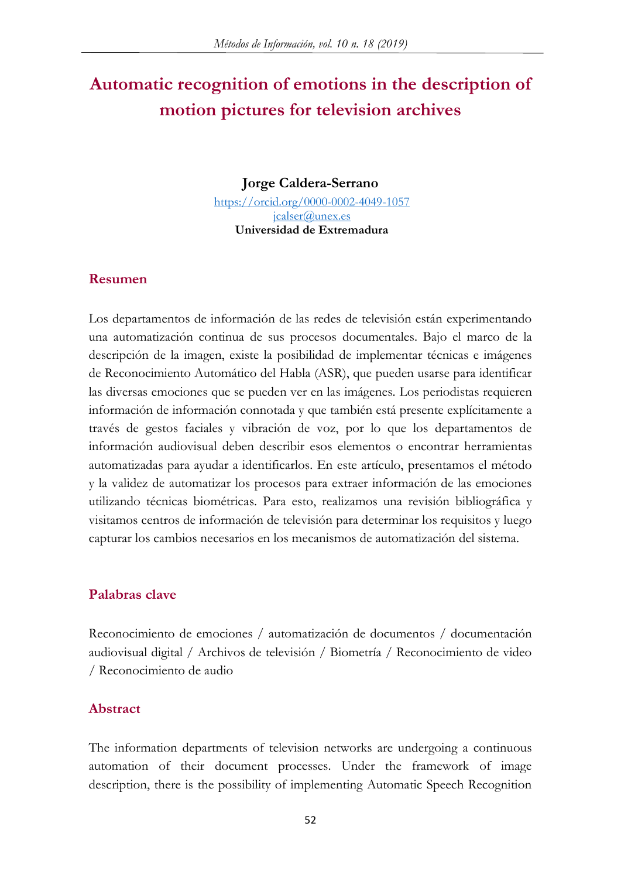# **Automatic recognition of emotions in the description of motion pictures for television archives**

**Jorge Caldera-Serrano**

<https://orcid.org/0000-0002-4049-1057> [jcalser@unex.es](mailto:jcalser@unex.es) **Universidad de Extremadura**

#### **Resumen**

Los departamentos de información de las redes de televisión están experimentando una automatización continua de sus procesos documentales. Bajo el marco de la descripción de la imagen, existe la posibilidad de implementar técnicas e imágenes de Reconocimiento Automático del Habla (ASR), que pueden usarse para identificar las diversas emociones que se pueden ver en las imágenes. Los periodistas requieren información de información connotada y que también está presente explícitamente a través de gestos faciales y vibración de voz, por lo que los departamentos de información audiovisual deben describir esos elementos o encontrar herramientas automatizadas para ayudar a identificarlos. En este artículo, presentamos el método y la validez de automatizar los procesos para extraer información de las emociones utilizando técnicas biométricas. Para esto, realizamos una revisión bibliográfica y visitamos centros de información de televisión para determinar los requisitos y luego capturar los cambios necesarios en los mecanismos de automatización del sistema.

#### **Palabras clave**

Reconocimiento de emociones / automatización de documentos / documentación audiovisual digital / Archivos de televisión / Biometría / Reconocimiento de video / Reconocimiento de audio

#### **Abstract**

The information departments of television networks are undergoing a continuous automation of their document processes. Under the framework of image description, there is the possibility of implementing Automatic Speech Recognition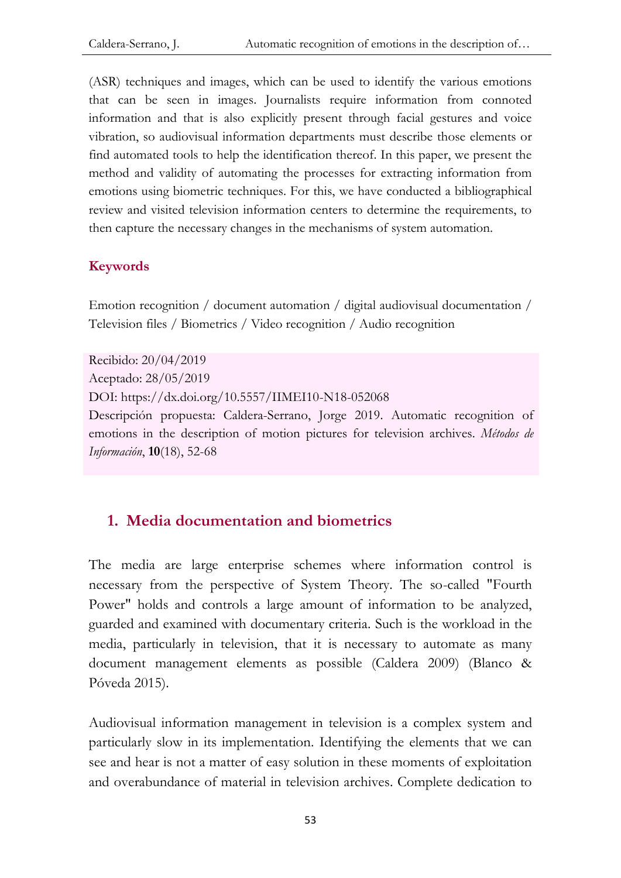(ASR) techniques and images, which can be used to identify the various emotions that can be seen in images. Journalists require information from connoted information and that is also explicitly present through facial gestures and voice vibration, so audiovisual information departments must describe those elements or find automated tools to help the identification thereof. In this paper, we present the method and validity of automating the processes for extracting information from emotions using biometric techniques. For this, we have conducted a bibliographical review and visited television information centers to determine the requirements, to then capture the necessary changes in the mechanisms of system automation.

#### **Keywords**

Emotion recognition / document automation / digital audiovisual documentation / Television files / Biometrics / Video recognition / Audio recognition

Recibido: 20/04/2019 Aceptado: 28/05/2019 DOI: https://dx.doi.org/10.5557/IIMEI10-N18-052068 Descripción propuesta: Caldera-Serrano, Jorge 2019. Automatic recognition of emotions in the description of motion pictures for television archives. *Métodos de Información*, **10**(18), 52-68

#### **1. Media documentation and biometrics**

The media are large enterprise schemes where information control is necessary from the perspective of System Theory. The so-called "Fourth Power" holds and controls a large amount of information to be analyzed, guarded and examined with documentary criteria. Such is the workload in the media, particularly in television, that it is necessary to automate as many document management elements as possible (Caldera 2009) (Blanco & Póveda 2015).

Audiovisual information management in television is a complex system and particularly slow in its implementation. Identifying the elements that we can see and hear is not a matter of easy solution in these moments of exploitation and overabundance of material in television archives. Complete dedication to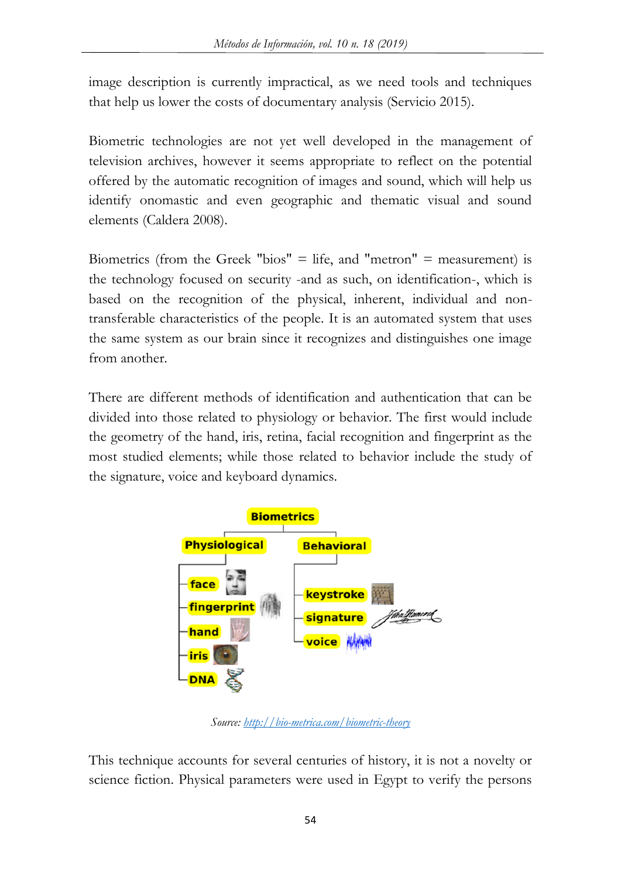image description is currently impractical, as we need tools and techniques that help us lower the costs of documentary analysis (Servicio 2015).

Biometric technologies are not yet well developed in the management of television archives, however it seems appropriate to reflect on the potential offered by the automatic recognition of images and sound, which will help us identify onomastic and even geographic and thematic visual and sound elements (Caldera 2008).

Biometrics (from the Greek "bios" = life, and "metron" = measurement) is the technology focused on security -and as such, on identification-, which is based on the recognition of the physical, inherent, individual and nontransferable characteristics of the people. It is an automated system that uses the same system as our brain since it recognizes and distinguishes one image from another.

There are different methods of identification and authentication that can be divided into those related to physiology or behavior. The first would include the geometry of the hand, iris, retina, facial recognition and fingerprint as the most studied elements; while those related to behavior include the study of the signature, voice and keyboard dynamics.



*Source:<http://bio-metrica.com/biometric-theory>*

This technique accounts for several centuries of history, it is not a novelty or science fiction. Physical parameters were used in Egypt to verify the persons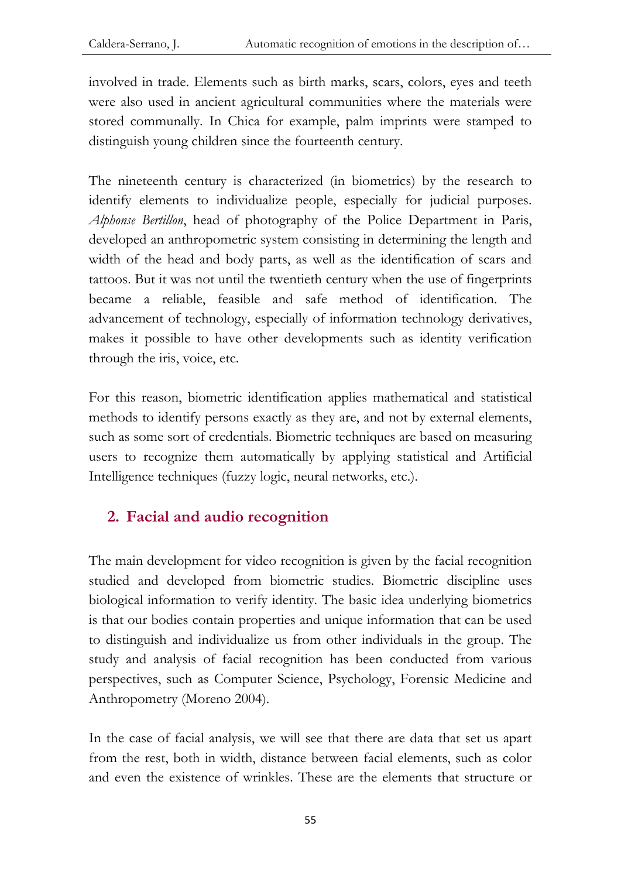involved in trade. Elements such as birth marks, scars, colors, eyes and teeth were also used in ancient agricultural communities where the materials were stored communally. In Chica for example, palm imprints were stamped to distinguish young children since the fourteenth century.

The nineteenth century is characterized (in biometrics) by the research to identify elements to individualize people, especially for judicial purposes. *Alphonse Bertillon*, head of photography of the Police Department in Paris, developed an anthropometric system consisting in determining the length and width of the head and body parts, as well as the identification of scars and tattoos. But it was not until the twentieth century when the use of fingerprints became a reliable, feasible and safe method of identification. The advancement of technology, especially of information technology derivatives, makes it possible to have other developments such as identity verification through the iris, voice, etc.

For this reason, biometric identification applies mathematical and statistical methods to identify persons exactly as they are, and not by external elements, such as some sort of credentials. Biometric techniques are based on measuring users to recognize them automatically by applying statistical and Artificial Intelligence techniques (fuzzy logic, neural networks, etc.).

# **2. Facial and audio recognition**

The main development for video recognition is given by the facial recognition studied and developed from biometric studies. Biometric discipline uses biological information to verify identity. The basic idea underlying biometrics is that our bodies contain properties and unique information that can be used to distinguish and individualize us from other individuals in the group. The study and analysis of facial recognition has been conducted from various perspectives, such as Computer Science, Psychology, Forensic Medicine and Anthropometry (Moreno 2004).

In the case of facial analysis, we will see that there are data that set us apart from the rest, both in width, distance between facial elements, such as color and even the existence of wrinkles. These are the elements that structure or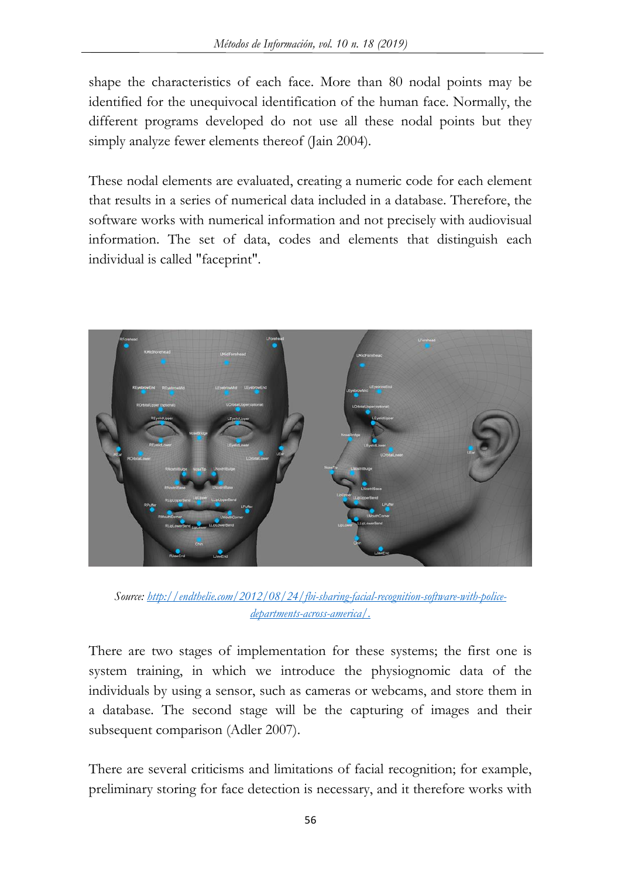shape the characteristics of each face. More than 80 nodal points may be identified for the unequivocal identification of the human face. Normally, the different programs developed do not use all these nodal points but they simply analyze fewer elements thereof (Jain 2004).

These nodal elements are evaluated, creating a numeric code for each element that results in a series of numerical data included in a database. Therefore, the software works with numerical information and not precisely with audiovisual information. The set of data, codes and elements that distinguish each individual is called "faceprint".



*Source: [http://endthelie.com/2012/08/24/fbi-sharing-facial-recognition-software-with-police](http://endthelie.com/2012/08/24/fbi-sharing-facial-recognition-software-with-police-departments-across-america/)[departments-across-america/.](http://endthelie.com/2012/08/24/fbi-sharing-facial-recognition-software-with-police-departments-across-america/)*

There are two stages of implementation for these systems; the first one is system training, in which we introduce the physiognomic data of the individuals by using a sensor, such as cameras or webcams, and store them in a database. The second stage will be the capturing of images and their subsequent comparison (Adler 2007).

There are several criticisms and limitations of facial recognition; for example, preliminary storing for face detection is necessary, and it therefore works with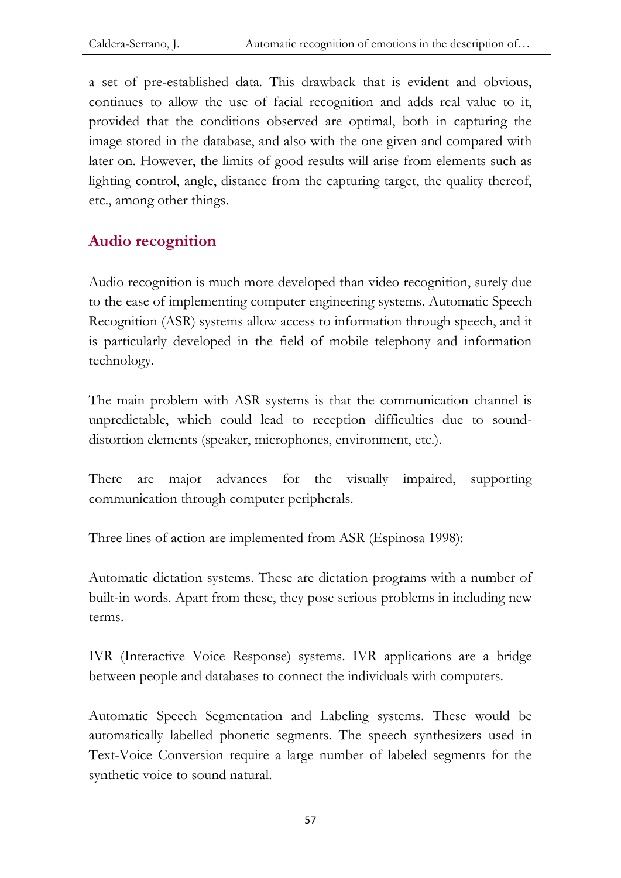a set of pre-established data. This drawback that is evident and obvious, continues to allow the use of facial recognition and adds real value to it, provided that the conditions observed are optimal, both in capturing the image stored in the database, and also with the one given and compared with later on. However, the limits of good results will arise from elements such as lighting control, angle, distance from the capturing target, the quality thereof, etc., among other things.

# **Audio recognition**

Audio recognition is much more developed than video recognition, surely due to the ease of implementing computer engineering systems. Automatic Speech Recognition (ASR) systems allow access to information through speech, and it is particularly developed in the field of mobile telephony and information technology.

The main problem with ASR systems is that the communication channel is unpredictable, which could lead to reception difficulties due to sounddistortion elements (speaker, microphones, environment, etc.).

There are major advances for the visually impaired, supporting communication through computer peripherals.

Three lines of action are implemented from ASR (Espinosa 1998):

Automatic dictation systems. These are dictation programs with a number of built-in words. Apart from these, they pose serious problems in including new terms.

IVR (Interactive Voice Response) systems. IVR applications are a bridge between people and databases to connect the individuals with computers.

Automatic Speech Segmentation and Labeling systems. These would be automatically labelled phonetic segments. The speech synthesizers used in Text-Voice Conversion require a large number of labeled segments for the synthetic voice to sound natural.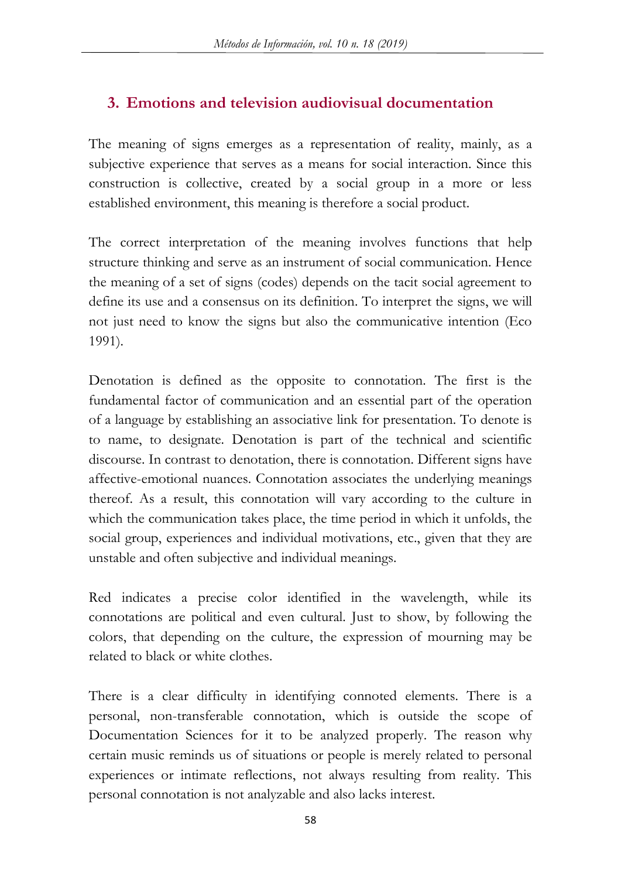### **3. Emotions and television audiovisual documentation**

The meaning of signs emerges as a representation of reality, mainly, as a subjective experience that serves as a means for social interaction. Since this construction is collective, created by a social group in a more or less established environment, this meaning is therefore a social product.

The correct interpretation of the meaning involves functions that help structure thinking and serve as an instrument of social communication. Hence the meaning of a set of signs (codes) depends on the tacit social agreement to define its use and a consensus on its definition. To interpret the signs, we will not just need to know the signs but also the communicative intention (Eco 1991).

Denotation is defined as the opposite to connotation. The first is the fundamental factor of communication and an essential part of the operation of a language by establishing an associative link for presentation. To denote is to name, to designate. Denotation is part of the technical and scientific discourse. In contrast to denotation, there is connotation. Different signs have affective-emotional nuances. Connotation associates the underlying meanings thereof. As a result, this connotation will vary according to the culture in which the communication takes place, the time period in which it unfolds, the social group, experiences and individual motivations, etc., given that they are unstable and often subjective and individual meanings.

Red indicates a precise color identified in the wavelength, while its connotations are political and even cultural. Just to show, by following the colors, that depending on the culture, the expression of mourning may be related to black or white clothes.

There is a clear difficulty in identifying connoted elements. There is a personal, non-transferable connotation, which is outside the scope of Documentation Sciences for it to be analyzed properly. The reason why certain music reminds us of situations or people is merely related to personal experiences or intimate reflections, not always resulting from reality. This personal connotation is not analyzable and also lacks interest.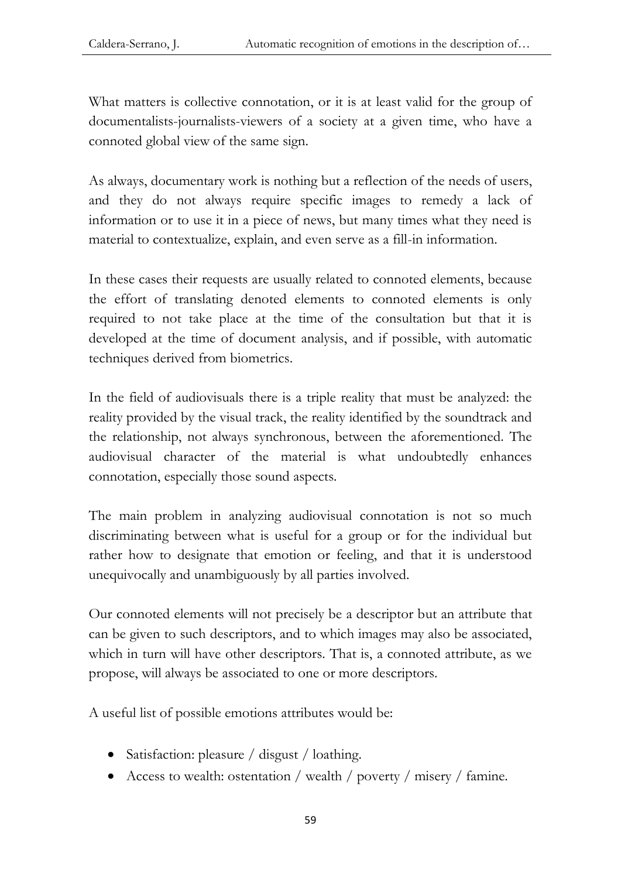What matters is collective connotation, or it is at least valid for the group of documentalists-journalists-viewers of a society at a given time, who have a connoted global view of the same sign.

As always, documentary work is nothing but a reflection of the needs of users, and they do not always require specific images to remedy a lack of information or to use it in a piece of news, but many times what they need is material to contextualize, explain, and even serve as a fill-in information.

In these cases their requests are usually related to connoted elements, because the effort of translating denoted elements to connoted elements is only required to not take place at the time of the consultation but that it is developed at the time of document analysis, and if possible, with automatic techniques derived from biometrics.

In the field of audiovisuals there is a triple reality that must be analyzed: the reality provided by the visual track, the reality identified by the soundtrack and the relationship, not always synchronous, between the aforementioned. The audiovisual character of the material is what undoubtedly enhances connotation, especially those sound aspects.

The main problem in analyzing audiovisual connotation is not so much discriminating between what is useful for a group or for the individual but rather how to designate that emotion or feeling, and that it is understood unequivocally and unambiguously by all parties involved.

Our connoted elements will not precisely be a descriptor but an attribute that can be given to such descriptors, and to which images may also be associated, which in turn will have other descriptors. That is, a connoted attribute, as we propose, will always be associated to one or more descriptors.

A useful list of possible emotions attributes would be:

- Satisfaction: pleasure / disgust / loathing.
- Access to wealth: ostentation / wealth / poverty / misery / famine.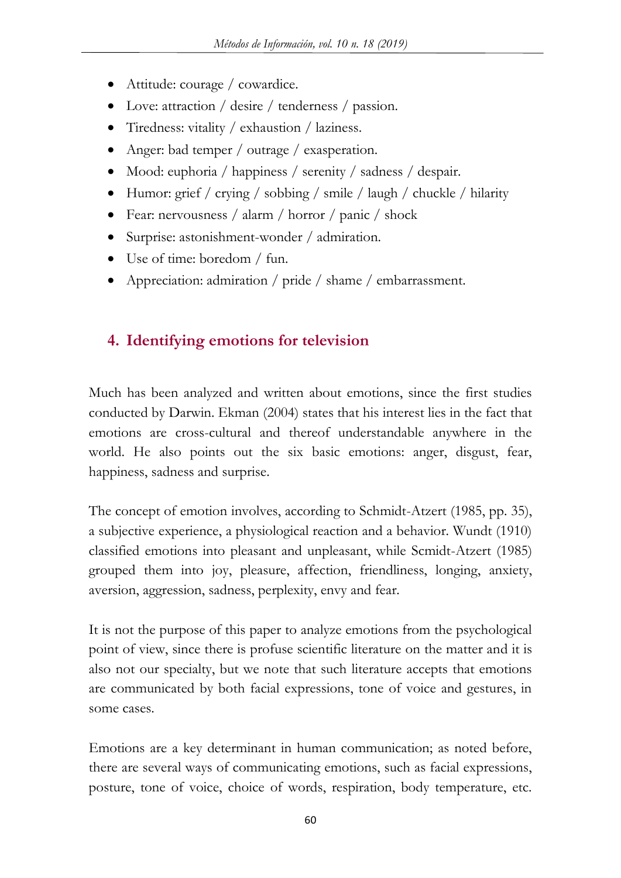- Attitude: courage / cowardice.
- Love: attraction / desire / tenderness / passion.
- Tiredness: vitality / exhaustion / laziness.
- Anger: bad temper / outrage / exasperation.
- Mood: euphoria / happiness / serenity / sadness / despair.
- Humor: grief / crying / sobbing / smile / laugh / chuckle / hilarity
- Fear: nervousness / alarm / horror / panic / shock
- Surprise: astonishment-wonder / admiration.
- Use of time: boredom / fun.
- Appreciation: admiration / pride / shame / embarrassment.

#### **4. Identifying emotions for television**

Much has been analyzed and written about emotions, since the first studies conducted by Darwin. Ekman (2004) states that his interest lies in the fact that emotions are cross-cultural and thereof understandable anywhere in the world. He also points out the six basic emotions: anger, disgust, fear, happiness, sadness and surprise.

The concept of emotion involves, according to Schmidt-Atzert (1985, pp. 35), a subjective experience, a physiological reaction and a behavior. Wundt (1910) classified emotions into pleasant and unpleasant, while Scmidt-Atzert (1985) grouped them into joy, pleasure, affection, friendliness, longing, anxiety, aversion, aggression, sadness, perplexity, envy and fear.

It is not the purpose of this paper to analyze emotions from the psychological point of view, since there is profuse scientific literature on the matter and it is also not our specialty, but we note that such literature accepts that emotions are communicated by both facial expressions, tone of voice and gestures, in some cases.

Emotions are a key determinant in human communication; as noted before, there are several ways of communicating emotions, such as facial expressions, posture, tone of voice, choice of words, respiration, body temperature, etc.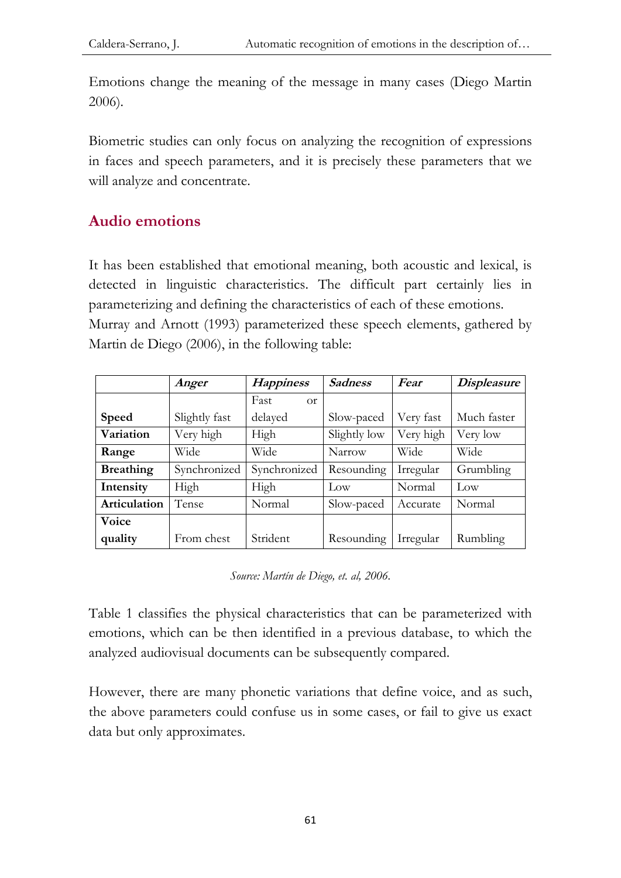Emotions change the meaning of the message in many cases (Diego Martin 2006).

Biometric studies can only focus on analyzing the recognition of expressions in faces and speech parameters, and it is precisely these parameters that we will analyze and concentrate.

# **Audio emotions**

It has been established that emotional meaning, both acoustic and lexical, is detected in linguistic characteristics. The difficult part certainly lies in parameterizing and defining the characteristics of each of these emotions. Murray and Arnott (1993) parameterized these speech elements, gathered by Martin de Diego (2006), in the following table:

|                  | Anger         | <b>Happiness</b>      | <b>Sadness</b> | Fear      | <b>Displeasure</b> |
|------------------|---------------|-----------------------|----------------|-----------|--------------------|
|                  |               | Fast<br><sub>Or</sub> |                |           |                    |
| <b>Speed</b>     | Slightly fast | delayed               | Slow-paced     | Very fast | Much faster        |
| Variation        | Very high     | High                  | Slightly low   | Very high | Very low           |
| Range            | Wide          | Wide                  | Narrow         | Wide      | Wide               |
| <b>Breathing</b> | Synchronized  | Synchronized          | Resounding     | Irregular | Grumbling          |
| Intensity        | High          | High                  | Low            | Normal    | Low                |
| Articulation     | Tense         | Normal                | Slow-paced     | Accurate  | Normal             |
| Voice            |               |                       |                |           |                    |
| quality          | From chest    | Strident              | Resounding     | Irregular | Rumbling           |

*Source: Martín de Diego, et. al, 2006.*

Table 1 classifies the physical characteristics that can be parameterized with emotions, which can be then identified in a previous database, to which the analyzed audiovisual documents can be subsequently compared.

However, there are many phonetic variations that define voice, and as such, the above parameters could confuse us in some cases, or fail to give us exact data but only approximates.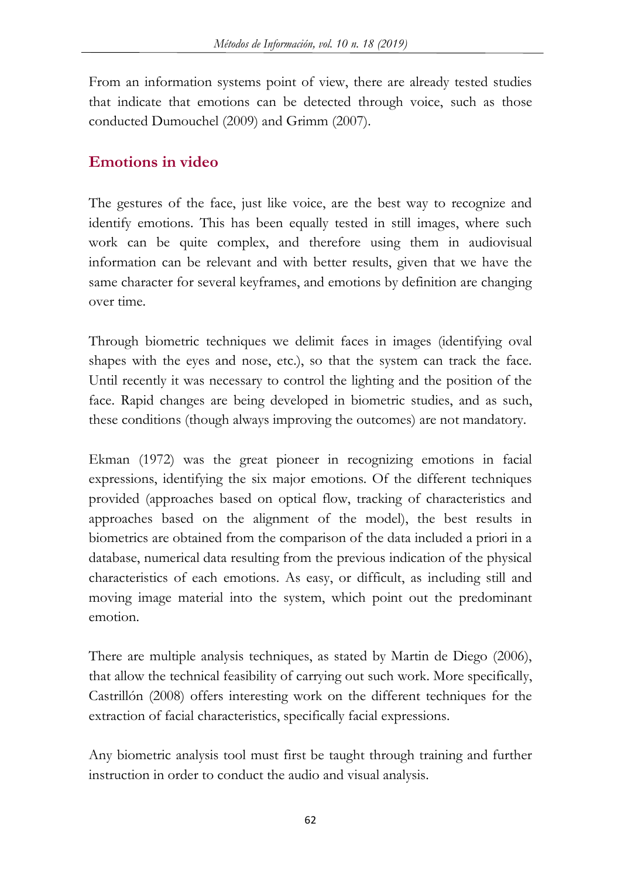From an information systems point of view, there are already tested studies that indicate that emotions can be detected through voice, such as those conducted Dumouchel (2009) and Grimm (2007).

### **Emotions in video**

The gestures of the face, just like voice, are the best way to recognize and identify emotions. This has been equally tested in still images, where such work can be quite complex, and therefore using them in audiovisual information can be relevant and with better results, given that we have the same character for several keyframes, and emotions by definition are changing over time.

Through biometric techniques we delimit faces in images (identifying oval shapes with the eyes and nose, etc.), so that the system can track the face. Until recently it was necessary to control the lighting and the position of the face. Rapid changes are being developed in biometric studies, and as such, these conditions (though always improving the outcomes) are not mandatory.

Ekman (1972) was the great pioneer in recognizing emotions in facial expressions, identifying the six major emotions. Of the different techniques provided (approaches based on optical flow, tracking of characteristics and approaches based on the alignment of the model), the best results in biometrics are obtained from the comparison of the data included a priori in a database, numerical data resulting from the previous indication of the physical characteristics of each emotions. As easy, or difficult, as including still and moving image material into the system, which point out the predominant emotion.

There are multiple analysis techniques, as stated by Martin de Diego (2006), that allow the technical feasibility of carrying out such work. More specifically, Castrillón (2008) offers interesting work on the different techniques for the extraction of facial characteristics, specifically facial expressions.

Any biometric analysis tool must first be taught through training and further instruction in order to conduct the audio and visual analysis.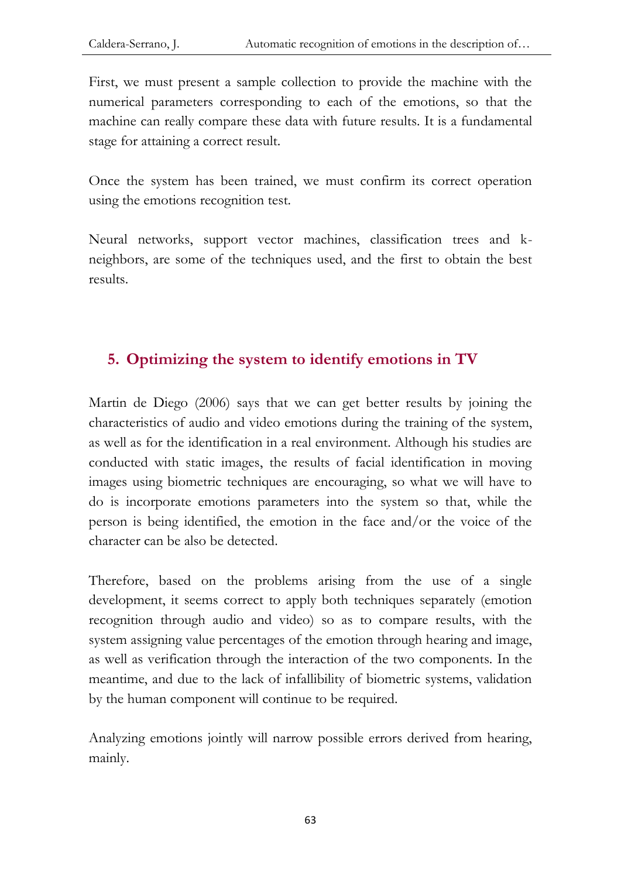First, we must present a sample collection to provide the machine with the numerical parameters corresponding to each of the emotions, so that the machine can really compare these data with future results. It is a fundamental stage for attaining a correct result.

Once the system has been trained, we must confirm its correct operation using the emotions recognition test.

Neural networks, support vector machines, classification trees and kneighbors, are some of the techniques used, and the first to obtain the best results.

### **5. Optimizing the system to identify emotions in TV**

Martin de Diego (2006) says that we can get better results by joining the characteristics of audio and video emotions during the training of the system, as well as for the identification in a real environment. Although his studies are conducted with static images, the results of facial identification in moving images using biometric techniques are encouraging, so what we will have to do is incorporate emotions parameters into the system so that, while the person is being identified, the emotion in the face and/or the voice of the character can be also be detected.

Therefore, based on the problems arising from the use of a single development, it seems correct to apply both techniques separately (emotion recognition through audio and video) so as to compare results, with the system assigning value percentages of the emotion through hearing and image, as well as verification through the interaction of the two components. In the meantime, and due to the lack of infallibility of biometric systems, validation by the human component will continue to be required.

Analyzing emotions jointly will narrow possible errors derived from hearing, mainly.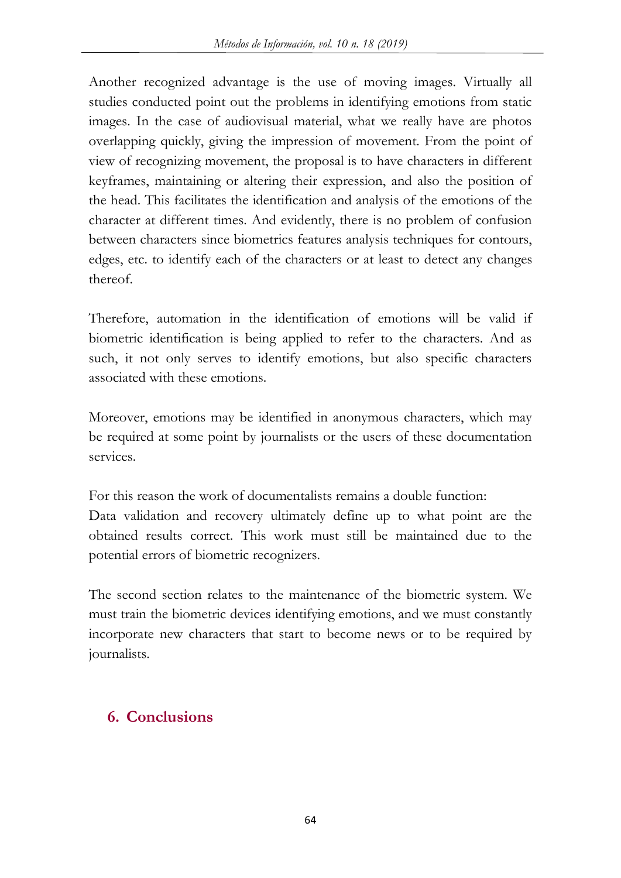Another recognized advantage is the use of moving images. Virtually all studies conducted point out the problems in identifying emotions from static images. In the case of audiovisual material, what we really have are photos overlapping quickly, giving the impression of movement. From the point of view of recognizing movement, the proposal is to have characters in different keyframes, maintaining or altering their expression, and also the position of the head. This facilitates the identification and analysis of the emotions of the character at different times. And evidently, there is no problem of confusion between characters since biometrics features analysis techniques for contours, edges, etc. to identify each of the characters or at least to detect any changes thereof.

Therefore, automation in the identification of emotions will be valid if biometric identification is being applied to refer to the characters. And as such, it not only serves to identify emotions, but also specific characters associated with these emotions.

Moreover, emotions may be identified in anonymous characters, which may be required at some point by journalists or the users of these documentation services.

For this reason the work of documentalists remains a double function: Data validation and recovery ultimately define up to what point are the obtained results correct. This work must still be maintained due to the potential errors of biometric recognizers.

The second section relates to the maintenance of the biometric system. We must train the biometric devices identifying emotions, and we must constantly incorporate new characters that start to become news or to be required by journalists.

### **6. Conclusions**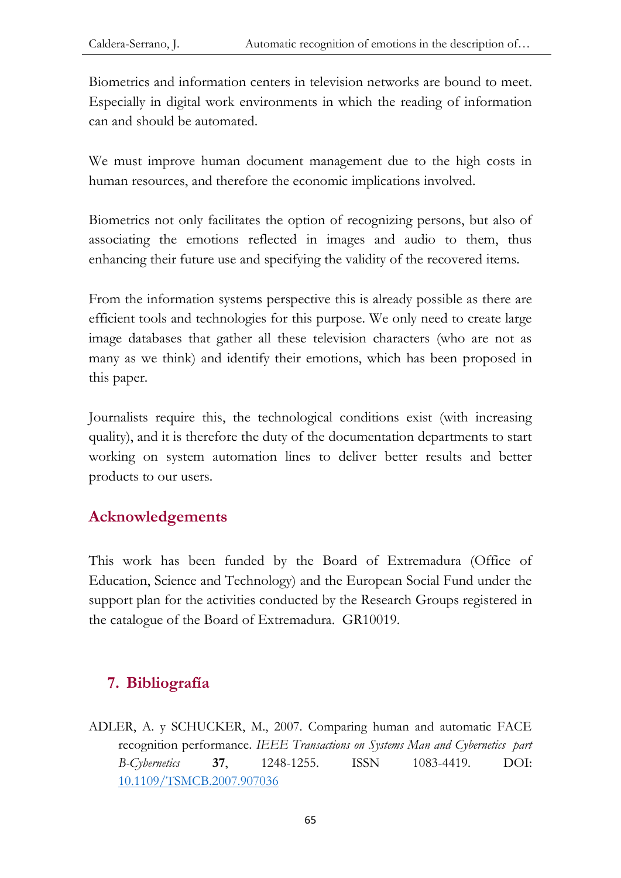Biometrics and information centers in television networks are bound to meet. Especially in digital work environments in which the reading of information can and should be automated.

We must improve human document management due to the high costs in human resources, and therefore the economic implications involved.

Biometrics not only facilitates the option of recognizing persons, but also of associating the emotions reflected in images and audio to them, thus enhancing their future use and specifying the validity of the recovered items.

From the information systems perspective this is already possible as there are efficient tools and technologies for this purpose. We only need to create large image databases that gather all these television characters (who are not as many as we think) and identify their emotions, which has been proposed in this paper.

Journalists require this, the technological conditions exist (with increasing quality), and it is therefore the duty of the documentation departments to start working on system automation lines to deliver better results and better products to our users.

### **Acknowledgements**

This work has been funded by the Board of Extremadura (Office of Education, Science and Technology) and the European Social Fund under the support plan for the activities conducted by the Research Groups registered in the catalogue of the Board of Extremadura. GR10019.

### **7. Bibliografía**

ADLER, A. y SCHUCKER, M., 2007. Comparing human and automatic FACE recognition performance. *IEEE Transactions on Systems Man and Cybernetics part B-Cybernetics* **37**, 1248-1255. ISSN 1083-4419. DOI: [10.1109/TSMCB.2007.907036](https://doi.org/10.1109/TSMCB.2007.907036)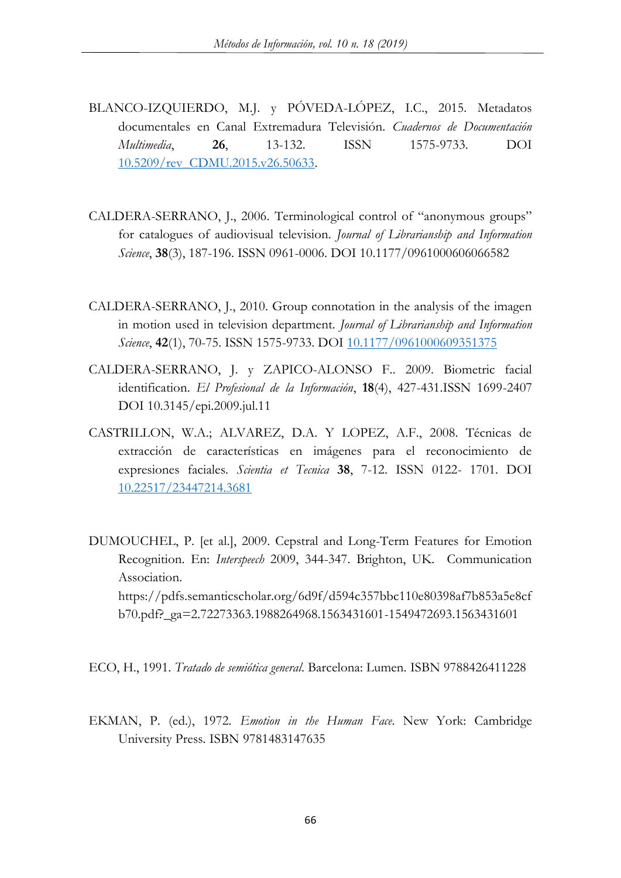- BLANCO-IZQUIERDO, M.J. y PÓVEDA-LÓPEZ, I.C., 2015. Metadatos documentales en Canal Extremadura Televisión. *Cuadernos de Documentación Multimedia*, **26**, 13-132. ISSN 1575-9733. DOI [10.5209/rev\\_CDMU.2015.v26.50633.](http://dx.doi.org/10.5209/rev_CDMU.2015.v26.50633)
- CALDERA-SERRANO, J., 2006. Terminological control of "anonymous groups" for catalogues of audiovisual television. *Journal of Librarianship and Information Science*, **38**(3), 187-196. ISSN 0961-0006. DOI 10.1177/0961000606066582
- CALDERA-SERRANO, J., 2010. Group connotation in the analysis of the imagen in motion used in television department. *Journal of Librarianship and Information Science*, **42**(1), 70-75. ISSN 1575-9733. DOI [10.1177/0961000609351375](https://doi.org/10.1177%2F0961000609351375)
- CALDERA-SERRANO, J. y ZAPICO-ALONSO F.. 2009. Biometric facial identification. *El Profesional de la Información*, **18**(4), 427-431.ISSN 1699-2407 DOI 10.3145/epi.2009.jul.11
- CASTRILLON, W.A.; ALVAREZ, D.A. Y LOPEZ, A.F., 2008. Técnicas de extracción de características en imágenes para el reconocimiento de expresiones faciales. *Scientia et Tecnica* **38**, 7-12. ISSN 0122- 1701. DOI [10.22517/23447214.3681](http://dx.doi.org/10.22517/23447214.3681)
- DUMOUCHEL, P. [et al.], 2009. Cepstral and Long-Term Features for Emotion Recognition. En: *Interspeech* 2009, 344-347. Brighton, UK. Communication Association. https://pdfs.semanticscholar.org/6d9f/d594c357bbc110e80398af7b853a5e8cf b70.pdf?\_ga=2.72273363.1988264968.1563431601-1549472693.1563431601

ECO, H., 1991. *Tratado de semiótica general*. Barcelona: Lumen. ISBN 9788426411228

EKMAN, P. (ed.), 1972. *Emotion in the Human Face*. New York: Cambridge University Press. ISBN 9781483147635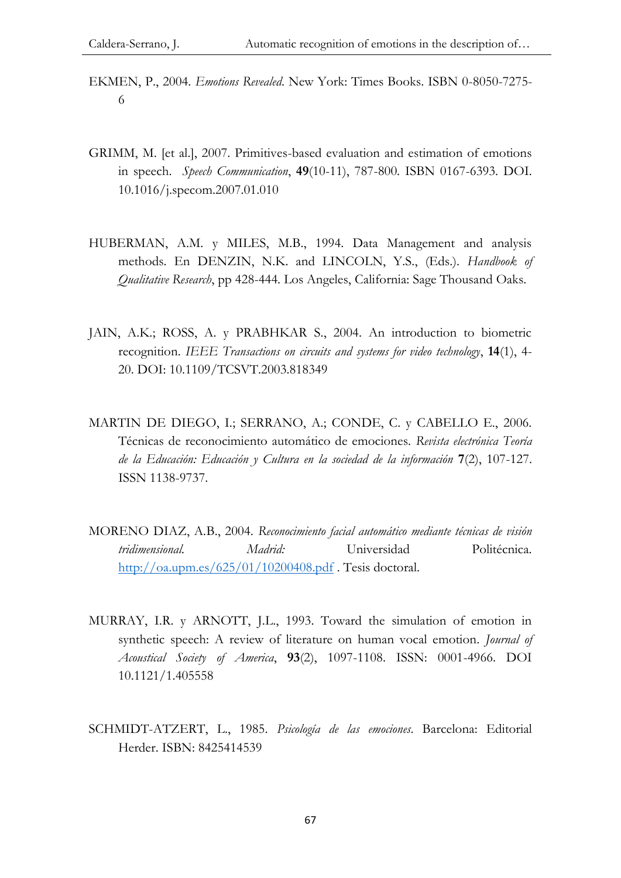- EKMEN, P., 2004. *Emotions Revealed*. New York: Times Books. ISBN 0-8050-7275- 6
- GRIMM, M. [et al.], 2007. Primitives-based evaluation and estimation of emotions in speech. *Speech Communication*, **49**(10-11), 787-800. ISBN 0167-6393. DOI. 10.1016/j.specom.2007.01.010
- HUBERMAN, A.M. y MILES, M.B., 1994. Data Management and analysis methods. En DENZIN, N.K. and LINCOLN, Y.S., (Eds.). *Handbook of Qualitative Research*, pp 428-444. Los Angeles, California: Sage Thousand Oaks.
- JAIN, A.K.; ROSS, A. y PRABHKAR S., 2004. An introduction to biometric recognition. *IEEE Transactions on circuits and systems for video technology*, **14**(1), 4- 20. DOI: 10.1109/TCSVT.2003.818349
- MARTIN DE DIEGO, I.; SERRANO, A.; CONDE, C. y CABELLO E., 2006. Técnicas de reconocimiento automático de emociones. *Revista electrónica Teoría de la Educación: Educación y Cultura en la sociedad de la información* **7**(2), 107-127. ISSN 1138-9737.
- MORENO DIAZ, A.B., 2004. *Reconocimiento facial automático mediante técnicas de visión tridimensional. Madrid:* Universidad Politécnica. <http://oa.upm.es/625/01/10200408.pdf> . Tesis doctoral.
- MURRAY, I.R. y ARNOTT, J.L., 1993. Toward the simulation of emotion in synthetic speech: A review of literature on human vocal emotion. *Journal of Acoustical Society of America*, **93**(2), 1097-1108. ISSN: 0001-4966. DOI 10.1121/1.405558
- SCHMIDT-ATZERT, L., 1985. *Psicología de las emociones*. Barcelona: Editorial Herder. ISBN: 8425414539